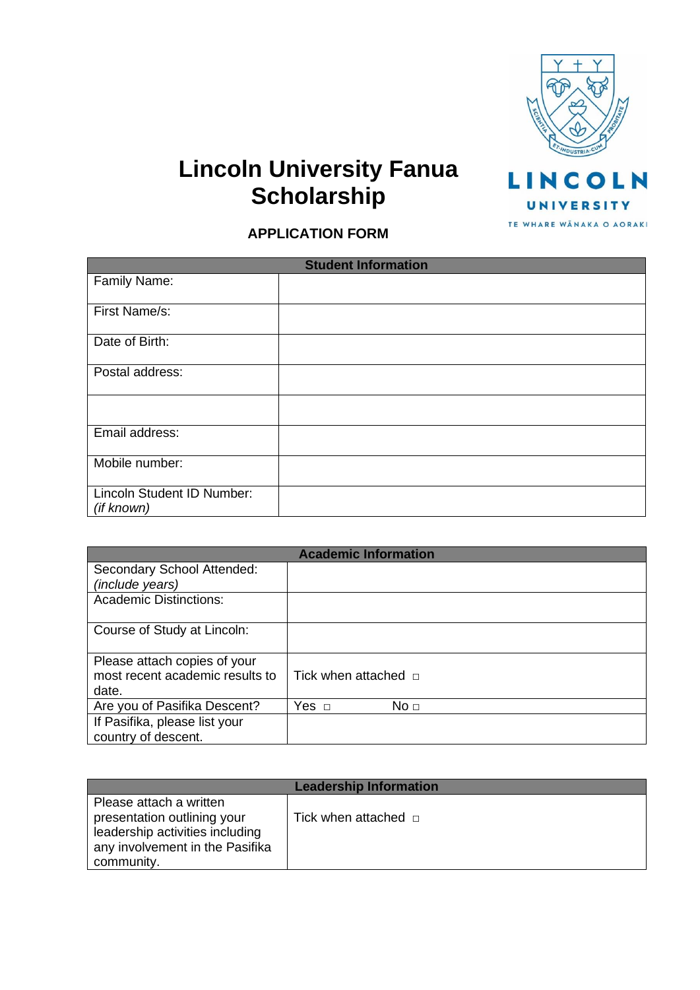

# **Lincoln University Fanua Scholarship**

TE WHARE WANAKA O AORAKI

## **APPLICATION FORM**

| <b>Student Information</b>               |  |  |
|------------------------------------------|--|--|
| Family Name:                             |  |  |
| First Name/s:                            |  |  |
| Date of Birth:                           |  |  |
| Postal address:                          |  |  |
|                                          |  |  |
| Email address:                           |  |  |
| Mobile number:                           |  |  |
| Lincoln Student ID Number:<br>(if known) |  |  |

| <b>Academic Information</b>     |                           |  |
|---------------------------------|---------------------------|--|
| Secondary School Attended:      |                           |  |
| (include years)                 |                           |  |
| <b>Academic Distinctions:</b>   |                           |  |
|                                 |                           |  |
| Course of Study at Lincoln:     |                           |  |
|                                 |                           |  |
| Please attach copies of your    |                           |  |
| most recent academic results to | Tick when attached $\Box$ |  |
| date.                           |                           |  |
| Are you of Pasifika Descent?    | No <sub>1</sub>           |  |
| If Pasifika, please list your   |                           |  |
| country of descent.             |                           |  |

| <b>Leadership Information</b>                                                                                                              |                           |  |
|--------------------------------------------------------------------------------------------------------------------------------------------|---------------------------|--|
| Please attach a written<br>presentation outlining your<br>leadership activities including<br>any involvement in the Pasifika<br>community. | Tick when attached $\Box$ |  |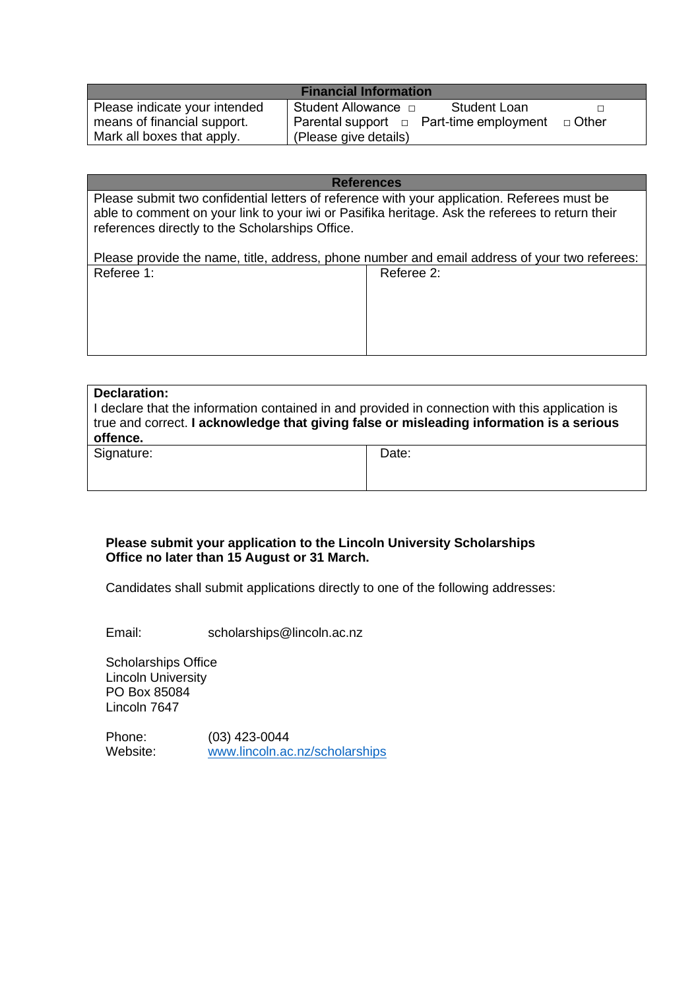| <b>Financial Information</b>  |                                              |         |  |
|-------------------------------|----------------------------------------------|---------|--|
| Please indicate your intended | Student Allowance □<br><b>Student Loan</b>   |         |  |
| means of financial support.   | Parental support $\Box$ Part-time employment | □ Other |  |
| Mark all boxes that apply.    | (Please give details)                        |         |  |

#### **References**

Please submit two confidential letters of reference with your application. Referees must be able to comment on your link to your iwi or Pasifika heritage. Ask the referees to return their references directly to the Scholarships Office.

Please provide the name, title, address, phone number and email address of your two referees:<br>Referee 1: <br>Referee 2: Referee 1:

| <b>Declaration:</b><br>I declare that the information contained in and provided in connection with this application is<br>true and correct. I acknowledge that giving false or misleading information is a serious<br>offence. |       |  |  |  |
|--------------------------------------------------------------------------------------------------------------------------------------------------------------------------------------------------------------------------------|-------|--|--|--|
| Signature:                                                                                                                                                                                                                     | Date: |  |  |  |

#### **Please submit your application to the Lincoln University Scholarships Office no later than 15 August or 31 March.**

Candidates shall submit applications directly to one of the following addresses:

Email: [scholarships@lincoln.ac.nz](mailto:scholarships@lincoln.ac.nz)

Scholarships Office Lincoln University PO Box 85084 Lincoln 7647

Phone: (03) 423-0044 Website: [www.lincoln.ac.nz/scholarships](http://www.lincoln.ac.nz/scholarships)